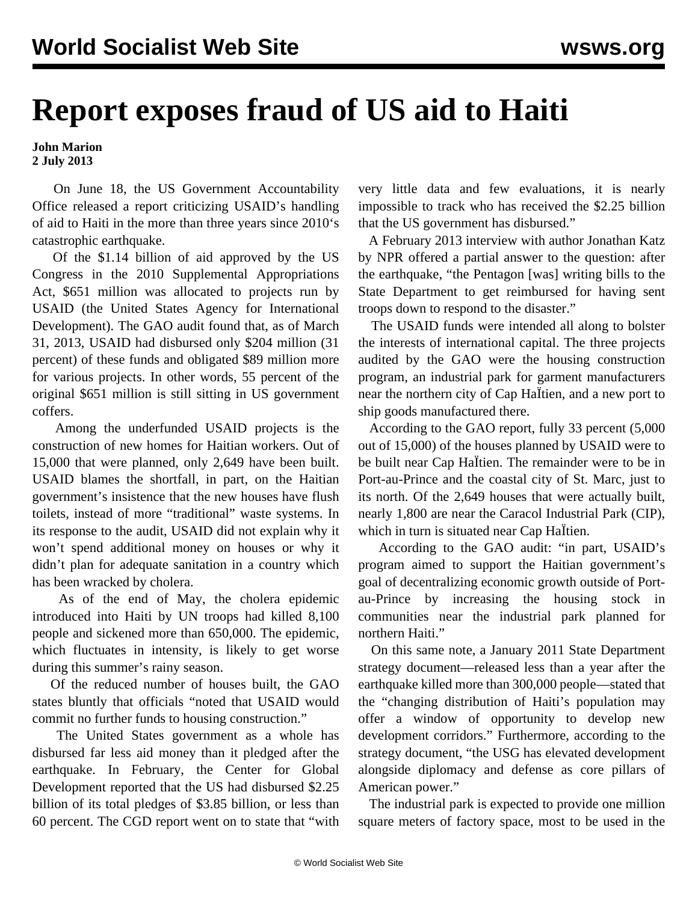## **Report exposes fraud of US aid to Haiti**

## **John Marion 2 July 2013**

 On June 18, the US Government Accountability Office released a [report](http://www.gao.gov/products/GAO-13-558) criticizing USAID's handling of aid to Haiti in the more than three years since 2010's catastrophic earthquake.

 Of the \$1.14 billion of aid approved by the US Congress in the 2010 Supplemental Appropriations Act, \$651 million was allocated to projects run by USAID (the United States Agency for International Development). The GAO audit found that, as of March 31, 2013, USAID had disbursed only \$204 million (31 percent) of these funds and obligated \$89 million more for various projects. In other words, 55 percent of the original \$651 million is still sitting in US government coffers.

 Among the underfunded USAID projects is the construction of new homes for Haitian workers. Out of 15,000 that were planned, only 2,649 have been built. USAID blames the shortfall, in part, on the Haitian government's insistence that the new houses have flush toilets, instead of more "traditional" waste systems. In its response to the audit, USAID did not explain why it won't spend additional money on houses or why it didn't plan for adequate sanitation in a country which has been wracked by cholera.

 As of the end of May, the cholera epidemic introduced into Haiti by UN troops had killed 8,100 people and sickened more than 650,000. The epidemic, which fluctuates in intensity, is likely to get worse during this summer's rainy season.

 Of the reduced number of houses built, the GAO states bluntly that officials "noted that USAID would commit no further funds to housing construction."

 The United States government as a whole has disbursed far less aid money than it pledged after the earthquake. In February, the Center for Global Development reported that the US had disbursed \$2.25 billion of its total pledges of \$3.85 billion, or less than 60 percent. The CGD report went on to state that "with

very little data and few evaluations, it is nearly impossible to track who has received the \$2.25 billion that the US government has disbursed."

 A February 2013 interview with author Jonathan Katz by NPR offered a partial answer to the question: after the earthquake, "the Pentagon [was] writing bills to the State Department to get reimbursed for having sent troops down to respond to the disaster."

 The USAID funds were intended all along to bolster the interests of international capital. The three projects audited by the GAO were the housing construction program, an industrial park for garment manufacturers near the northern city of Cap HaÏtien, and a new port to ship goods manufactured there.

 According to the GAO report, fully 33 percent (5,000 out of 15,000) of the houses planned by USAID were to be built near Cap HaÏtien. The remainder were to be in Port-au-Prince and the coastal city of St. Marc, just to its north. Of the 2,649 houses that were actually built, nearly 1,800 are near the Caracol Industrial Park (CIP), which in turn is situated near Cap Haltien.

 According to the GAO audit: "in part, USAID's program aimed to support the Haitian government's goal of decentralizing economic growth outside of Portau-Prince by increasing the housing stock in communities near the industrial park planned for northern Haiti."

 On this same note, a January 2011 State Department strategy document—released less than a year after the earthquake killed more than 300,000 people—stated that the "changing distribution of Haiti's population may offer a window of opportunity to develop new development corridors." Furthermore, according to the strategy document, "the USG has elevated development alongside diplomacy and defense as core pillars of American power."

 The industrial park is expected to provide one million square meters of factory space, most to be used in the